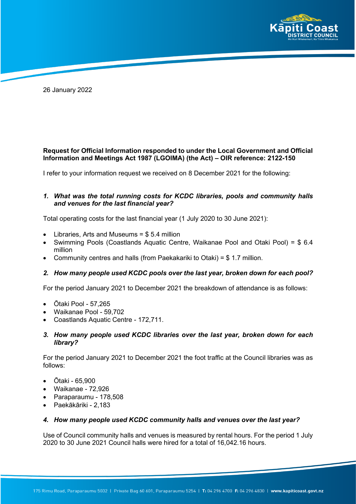

26 January 2022

# **Request for Official Information responded to under the Local Government and Official Information and Meetings Act 1987 (LGOIMA) (the Act) – OIR reference: 2122-150**

I refer to your information request we received on 8 December 2021 for the following:

## *1. What was the total running costs for KCDC libraries, pools and community halls and venues for the last financial year?*

Total operating costs for the last financial year (1 July 2020 to 30 June 2021):

- Libraries, Arts and Museums  $= $5.4$  million
- Swimming Pools (Coastlands Aquatic Centre, Waikanae Pool and Otaki Pool) = \$ 6.4 million
- Community centres and halls (from Paekakariki to Otaki) = \$ 1.7 million.

## *2. How many people used KCDC pools over the last year, broken down for each pool?*

For the period January 2021 to December 2021 the breakdown of attendance is as follows:

- Ōtaki Pool 57,265
- Waikanae Pool 59,702
- Coastlands Aquatic Centre 172,711.

## *3. How many people used KCDC libraries over the last year, broken down for each library?*

For the period January 2021 to December 2021 the foot traffic at the Council libraries was as follows:

- Ōtaki 65,900
- Waikanae 72,926
- Paraparaumu 178,508
- Paekākāriki 2,183

#### *4. How many people used KCDC community halls and venues over the last year?*

Use of Council community halls and venues is measured by rental hours. For the period 1 July 2020 to 30 June 2021 Council halls were hired for a total of 16,042.16 hours.